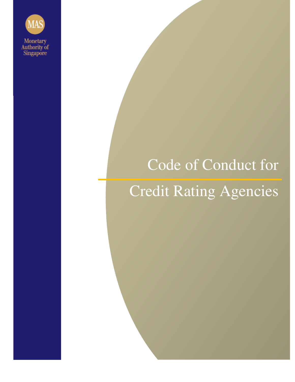

# Code of Conduct for

# Credit Rating Agencies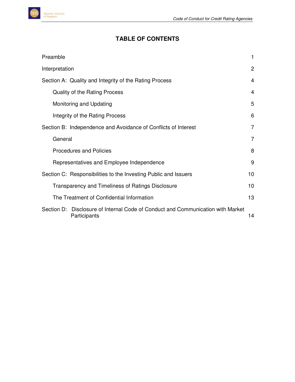# **TABLE OF CONTENTS**

| Preamble                                                                                        | 1               |
|-------------------------------------------------------------------------------------------------|-----------------|
| Interpretation                                                                                  | $\overline{2}$  |
| Section A: Quality and Integrity of the Rating Process                                          | 4               |
| Quality of the Rating Process                                                                   | 4               |
| Monitoring and Updating                                                                         | 5               |
| Integrity of the Rating Process                                                                 | 6               |
| Section B: Independence and Avoidance of Conflicts of Interest                                  | $\overline{7}$  |
| General                                                                                         | $\overline{7}$  |
| <b>Procedures and Policies</b>                                                                  | 8               |
| Representatives and Employee Independence                                                       | 9               |
| Section C: Responsibilities to the Investing Public and Issuers                                 | 10 <sup>1</sup> |
| Transparency and Timeliness of Ratings Disclosure                                               | 10              |
| The Treatment of Confidential Information                                                       | 13              |
| Section D: Disclosure of Internal Code of Conduct and Communication with Market<br>Participants | 14              |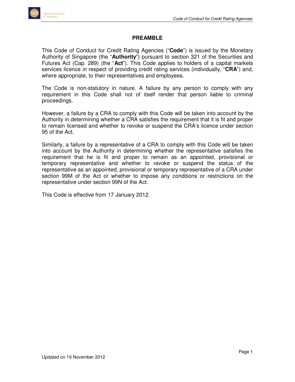#### **PREAMBLE**

This Code of Conduct for Credit Rating Agencies ("**Code**") is issued by the Monetary Authority of Singapore (the "**Authority**") pursuant to section 321 of the Securities and Futures Act (Cap. 289) (the "**Act**"). This Code applies to holders of a capital markets services licence in respect of providing credit rating services (individually, "**CRA**") and, where appropriate, to their representatives and employees.

The Code is non-statutory in nature. A failure by any person to comply with any requirement in this Code shall not of itself render that person liable to criminal proceedings.

However, a failure by a CRA to comply with this Code will be taken into account by the Authority in determining whether a CRA satisfies the requirement that it is fit and proper to remain licensed and whether to revoke or suspend the CRA's licence under section 95 of the Act.

Similarly, a failure by a representative of a CRA to comply with this Code will be taken into account by the Authority in determining whether the representative satisfies the requirement that he is fit and proper to remain as an appointed, provisional or temporary representative and whether to revoke or suspend the status of the representative as an appointed, provisional or temporary representative of a CRA under section 99M of the Act or whether to impose any conditions or restrictions on the representative under section 99N of the Act.

This Code is effective from 17 January 2012.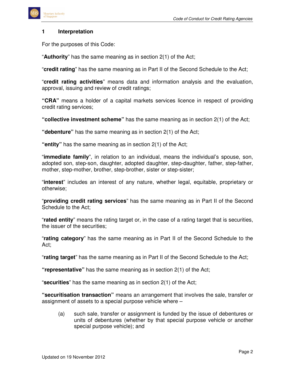

#### **1 Interpretation**

For the purposes of this Code:

"**Authority**" has the same meaning as in section 2(1) of the Act;

"**credit rating**" has the same meaning as in Part II of the Second Schedule to the Act;

"**credit rating activities**" means data and information analysis and the evaluation, approval, issuing and review of credit ratings;

**"CRA"** means a holder of a capital markets services licence in respect of providing credit rating services;

**"collective investment scheme"** has the same meaning as in section 2(1) of the Act;

**"debenture"** has the same meaning as in section 2(1) of the Act;

**"entity"** has the same meaning as in section 2(1) of the Act;

"**immediate family**", in relation to an individual, means the individual's spouse, son, adopted son, step-son, daughter, adopted daughter, step-daughter, father, step-father, mother, step-mother, brother, step-brother, sister or step-sister;

"**interest**" includes an interest of any nature, whether legal, equitable, proprietary or otherwise;

"**providing credit rating services**" has the same meaning as in Part II of the Second Schedule to the Act;

"**rated entity**" means the rating target or, in the case of a rating target that is securities, the issuer of the securities;

"**rating category**" has the same meaning as in Part II of the Second Schedule to the Act;

"**rating target**" has the same meaning as in Part II of the Second Schedule to the Act;

**"representative"** has the same meaning as in section 2(1) of the Act;

"**securities**" has the same meaning as in section 2(1) of the Act;

**"securitisation transaction"** means an arrangement that involves the sale, transfer or assignment of assets to a special purpose vehicle where –

(a) such sale, transfer or assignment is funded by the issue of debentures or units of debentures (whether by that special purpose vehicle or another special purpose vehicle); and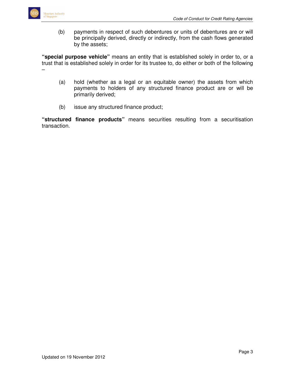

(b) payments in respect of such debentures or units of debentures are or will be principally derived, directly or indirectly, from the cash flows generated by the assets;

**"special purpose vehicle"** means an entity that is established solely in order to, or a trust that is established solely in order for its trustee to, do either or both of the following –

- (a) hold (whether as a legal or an equitable owner) the assets from which payments to holders of any structured finance product are or will be primarily derived;
- (b) issue any structured finance product;

**"structured finance products"** means securities resulting from a securitisation transaction.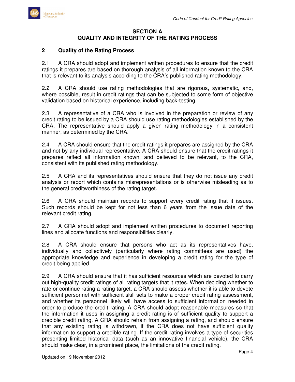

#### **SECTION A QUALITY AND INTEGRITY OF THE RATING PROCESS**

#### **2 Quality of the Rating Process**

2.1 A CRA should adopt and implement written procedures to ensure that the credit ratings it prepares are based on thorough analysis of all information known to the CRA that is relevant to its analysis according to the CRA's published rating methodology.

2.2 A CRA should use rating methodologies that are rigorous, systematic, and, where possible, result in credit ratings that can be subjected to some form of objective validation based on historical experience, including back-testing.

2.3 A representative of a CRA who is involved in the preparation or review of any credit rating to be issued by a CRA should use rating methodologies established by the CRA. The representative should apply a given rating methodology in a consistent manner, as determined by the CRA.

2.4 A CRA should ensure that the credit ratings it prepares are assigned by the CRA and not by any individual representative. A CRA should ensure that the credit ratings it prepares reflect all information known, and believed to be relevant, to the CRA, consistent with its published rating methodology.

2.5 A CRA and its representatives should ensure that they do not issue any credit analysis or report which contains misrepresentations or is otherwise misleading as to the general creditworthiness of the rating target.

2.6 A CRA should maintain records to support every credit rating that it issues. Such records should be kept for not less than 6 years from the issue date of the relevant credit rating.

2.7 A CRA should adopt and implement written procedures to document reporting lines and allocate functions and responsibilities clearly.

2.8 A CRA should ensure that persons who act as its representatives have, individually and collectively (particularly where rating committees are used) the appropriate knowledge and experience in developing a credit rating for the type of credit being applied.

2.9 A CRA should ensure that it has sufficient resources which are devoted to carry out high-quality credit ratings of all rating targets that it rates. When deciding whether to rate or continue rating a rating target, a CRA should assess whether it is able to devote sufficient personnel with sufficient skill sets to make a proper credit rating assessment, and whether its personnel likely will have access to sufficient information needed in order to produce the credit rating. A CRA should adopt reasonable measures so that the information it uses in assigning a credit rating is of sufficient quality to support a credible credit rating. A CRA should refrain from assigning a rating, and should ensure that any existing rating is withdrawn, if the CRA does not have sufficient quality information to support a credible rating. If the credit rating involves a type of securities presenting limited historical data (such as an innovative financial vehicle), the CRA should make clear, in a prominent place, the limitations of the credit rating.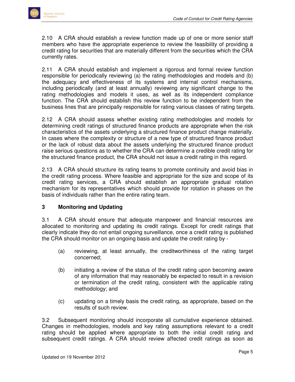2.10 A CRA should establish a review function made up of one or more senior staff members who have the appropriate experience to review the feasibility of providing a credit rating for securities that are materially different from the securities which the CRA currently rates.

2.11 A CRA should establish and implement a rigorous and formal review function responsible for periodically reviewing (a) the rating methodologies and models and (b) the adequacy and effectiveness of its systems and internal control mechanisms, including periodically (and at least annually) reviewing any significant change to the rating methodologies and models it uses, as well as its independent compliance function. The CRA should establish this review function to be independent from the business lines that are principally responsible for rating various classes of rating targets.

2.12 A CRA should assess whether existing rating methodologies and models for determining credit ratings of structured finance products are appropriate when the risk characteristics of the assets underlying a structured finance product change materially. In cases where the complexity or structure of a new type of structured finance product or the lack of robust data about the assets underlying the structured finance product raise serious questions as to whether the CRA can determine a credible credit rating for the structured finance product, the CRA should not issue a credit rating in this regard.

2.13 A CRA should structure its rating teams to promote continuity and avoid bias in the credit rating process. Where feasible and appropriate for the size and scope of its credit rating services, a CRA should establish an appropriate gradual rotation mechanism for its representatives which should provide for rotation in phases on the basis of individuals rather than the entire rating team.

# **3 Monitoring and Updating**

3.1 A CRA should ensure that adequate manpower and financial resources are allocated to monitoring and updating its credit ratings. Except for credit ratings that clearly indicate they do not entail ongoing surveillance, once a credit rating is published the CRA should monitor on an ongoing basis and update the credit rating by -

- (a) reviewing, at least annually, the creditworthiness of the rating target concerned;
- (b) initiating a review of the status of the credit rating upon becoming aware of any information that may reasonably be expected to result in a revision or termination of the credit rating, consistent with the applicable rating methodology; and
- (c) updating on a timely basis the credit rating, as appropriate, based on the results of such review.

3.2 Subsequent monitoring should incorporate all cumulative experience obtained. Changes in methodologies, models and key rating assumptions relevant to a credit rating should be applied where appropriate to both the initial credit rating and subsequent credit ratings. A CRA should review affected credit ratings as soon as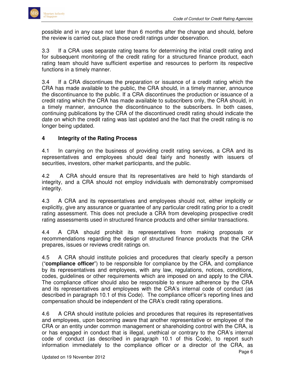possible and in any case not later than 6 months after the change and should, before the review is carried out, place those credit ratings under observation.

3.3 If a CRA uses separate rating teams for determining the initial credit rating and for subsequent monitoring of the credit rating for a structured finance product, each rating team should have sufficient expertise and resources to perform its respective functions in a timely manner.

3.4 If a CRA discontinues the preparation or issuance of a credit rating which the CRA has made available to the public, the CRA should, in a timely manner, announce the discontinuance to the public. If a CRA discontinues the production or issuance of a credit rating which the CRA has made available to subscribers only, the CRA should, in a timely manner, announce the discontinuance to the subscribers. In both cases, continuing publications by the CRA of the discontinued credit rating should indicate the date on which the credit rating was last updated and the fact that the credit rating is no longer being updated.

# **4 Integrity of the Rating Process**

4.1 In carrying on the business of providing credit rating services, a CRA and its representatives and employees should deal fairly and honestly with issuers of securities, investors, other market participants, and the public.

4.2 A CRA should ensure that its representatives are held to high standards of integrity, and a CRA should not employ individuals with demonstrably compromised integrity.

4.3 A CRA and its representatives and employees should not, either implicitly or explicitly, give any assurance or guarantee of any particular credit rating prior to a credit rating assessment. This does not preclude a CRA from developing prospective credit rating assessments used in structured finance products and other similar transactions.

4.4 A CRA should prohibit its representatives from making proposals or recommendations regarding the design of structured finance products that the CRA prepares, issues or reviews credit ratings on.

4.5 A CRA should institute policies and procedures that clearly specify a person ("**compliance officer**") to be responsible for compliance by the CRA, and compliance by its representatives and employees, with any law, regulations, notices, conditions, codes, guidelines or other requirements which are imposed on and apply to the CRA. The compliance officer should also be responsible to ensure adherence by the CRA and its representatives and employees with the CRA's internal code of conduct (as described in paragraph 10.1 of this Code). The compliance officer's reporting lines and compensation should be independent of the CRA's credit rating operations.

4.6 A CRA should institute policies and procedures that requires its representatives and employees, upon becoming aware that another representative or employee of the CRA or an entity under common management or shareholding control with the CRA, is or has engaged in conduct that is illegal, unethical or contrary to the CRA's internal code of conduct (as described in paragraph 10.1 of this Code), to report such information immediately to the compliance officer or a director of the CRA, as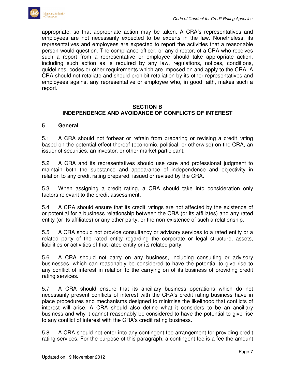appropriate, so that appropriate action may be taken. A CRA's representatives and employees are not necessarily expected to be experts in the law. Nonetheless, its representatives and employees are expected to report the activities that a reasonable person would question. The compliance officer, or any director, of a CRA who receives such a report from a representative or employee should take appropriate action, including such action as is required by any law, regulations, notices, conditions, guidelines, codes or other requirements which are imposed on and apply to the CRA. A CRA should not retaliate and should prohibit retaliation by its other representatives and employees against any representative or employee who, in good faith, makes such a report.

#### **SECTION B INDEPENDENCE AND AVOIDANCE OF CONFLICTS OF INTEREST**

#### **5 General**

5.1 A CRA should not forbear or refrain from preparing or revising a credit rating based on the potential effect thereof (economic, political, or otherwise) on the CRA, an issuer of securities, an investor, or other market participant.

5.2 A CRA and its representatives should use care and professional judgment to maintain both the substance and appearance of independence and objectivity in relation to any credit rating prepared, issued or revised by the CRA.

5.3 When assigning a credit rating, a CRA should take into consideration only factors relevant to the credit assessment.

5.4 A CRA should ensure that its credit ratings are not affected by the existence of or potential for a business relationship between the CRA (or its affiliates) and any rated entity (or its affiliates) or any other party, or the non-existence of such a relationship.

5.5 A CRA should not provide consultancy or advisory services to a rated entity or a related party of the rated entity regarding the corporate or legal structure, assets, liabilities or activities of that rated entity or its related party.

5.6 A CRA should not carry on any business, including consulting or advisory businesses, which can reasonably be considered to have the potential to give rise to any conflict of interest in relation to the carrying on of its business of providing credit rating services.

5.7 A CRA should ensure that its ancillary business operations which do not necessarily present conflicts of interest with the CRA's credit rating business have in place procedures and mechanisms designed to minimise the likelihood that conflicts of interest will arise. A CRA should also define what it considers to be an ancillary business and why it cannot reasonably be considered to have the potential to give rise to any conflict of interest with the CRA's credit rating business.

5.8 A CRA should not enter into any contingent fee arrangement for providing credit rating services. For the purpose of this paragraph, a contingent fee is a fee the amount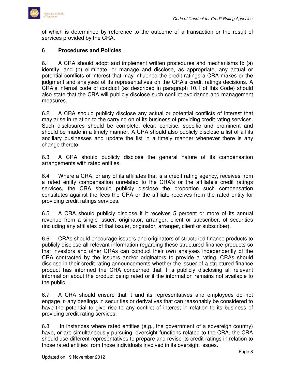

of which is determined by reference to the outcome of a transaction or the result of services provided by the CRA.

#### **6 Procedures and Policies**

6.1 A CRA should adopt and implement written procedures and mechanisms to (a) identify, and (b) eliminate, or manage and disclose, as appropriate, any actual or potential conflicts of interest that may influence the credit ratings a CRA makes or the judgment and analyses of its representatives on the CRA's credit ratings decisions. A CRA's internal code of conduct (as described in paragraph 10.1 of this Code) should also state that the CRA will publicly disclose such conflict avoidance and management measures.

6.2 A CRA should publicly disclose any actual or potential conflicts of interest that may arise in relation to the carrying on of its business of providing credit rating services. Such disclosures should be complete, clear, concise, specific and prominent and should be made in a timely manner. A CRA should also publicly disclose a list of all its ancillary businesses and update the list in a timely manner whenever there is any change thereto.

6.3 A CRA should publicly disclose the general nature of its compensation arrangements with rated entities.

6.4 Where a CRA, or any of its affiliates that is a credit rating agency, receives from a rated entity compensation unrelated to the CRA's or the affiliate's credit ratings services, the CRA should publicly disclose the proportion such compensation constitutes against the fees the CRA or the affiliate receives from the rated entity for providing credit ratings services.

6.5 A CRA should publicly disclose if it receives 5 percent or more of its annual revenue from a single issuer, originator, arranger, client or subscriber, of securities (including any affiliates of that issuer, originator, arranger, client or subscriber).

6.6 CRAs should encourage issuers and originators of structured finance products to publicly disclose all relevant information regarding these structured finance products so that investors and other CRAs can conduct their own analyses independently of the CRA contracted by the issuers and/or originators to provide a rating. CRAs should disclose in their credit rating announcements whether the issuer of a structured finance product has informed the CRA concerned that it is publicly disclosing all relevant information about the product being rated or if the information remains not available to the public.

6.7 A CRA should ensure that it and its representatives and employees do not engage in any dealings in securities or derivatives that can reasonably be considered to have the potential to give rise to any conflict of interest in relation to its business of providing credit rating services.

6.8 In instances where rated entities (e.g., the government of a sovereign country) have, or are simultaneously pursuing, oversight functions related to the CRA, the CRA should use different representatives to prepare and revise its credit ratings in relation to those rated entities from those individuals involved in its oversight issues.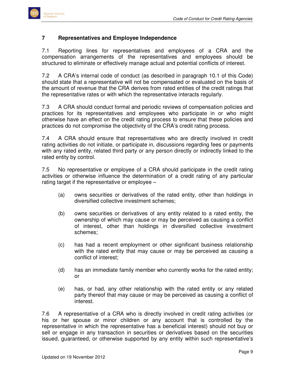#### **7 Representatives and Employee Independence**

7.1 Reporting lines for representatives and employees of a CRA and the compensation arrangements of the representatives and employees should be structured to eliminate or effectively manage actual and potential conflicts of interest.

7.2 A CRA's internal code of conduct (as described in paragraph 10.1 of this Code) should state that a representative will not be compensated or evaluated on the basis of the amount of revenue that the CRA derives from rated entities of the credit ratings that the representative rates or with which the representative interacts regularly.

7.3 A CRA should conduct formal and periodic reviews of compensation policies and practices for its representatives and employees who participate in or who might otherwise have an effect on the credit rating process to ensure that these policies and practices do not compromise the objectivity of the CRA's credit rating process.

7.4 A CRA should ensure that representatives who are directly involved in credit rating activities do not initiate, or participate in, discussions regarding fees or payments with any rated entity, related third party or any person directly or indirectly linked to the rated entity by control.

7.5 No representative or employee of a CRA should participate in the credit rating activities or otherwise influence the determination of a credit rating of any particular rating target if the representative or employee –

- (a) owns securities or derivatives of the rated entity, other than holdings in diversified collective investment schemes;
- (b) owns securities or derivatives of any entity related to a rated entity, the ownership of which may cause or may be perceived as causing a conflict of interest, other than holdings in diversified collective investment schemes;
- (c) has had a recent employment or other significant business relationship with the rated entity that may cause or may be perceived as causing a conflict of interest;
- (d) has an immediate family member who currently works for the rated entity; or
- (e) has, or had, any other relationship with the rated entity or any related party thereof that may cause or may be perceived as causing a conflict of interest.

7.6 A representative of a CRA who is directly involved in credit rating activities (or his or her spouse or minor children or any account that is controlled by the representative in which the representative has a beneficial interest) should not buy or sell or engage in any transaction in securities or derivatives based on the securities issued, guaranteed, or otherwise supported by any entity within such representative's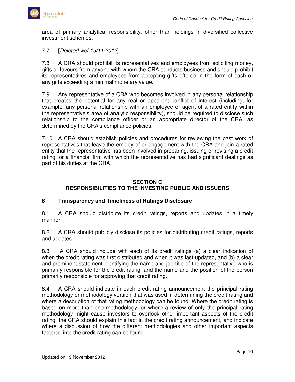

area of primary analytical responsibility, other than holdings in diversified collective investment schemes.

# 7.7 [Deleted wef 19/11/2012]

7.8 A CRA should prohibit its representatives and employees from soliciting money, gifts or favours from anyone with whom the CRA conducts business and should prohibit its representatives and employees from accepting gifts offered in the form of cash or any gifts exceeding a minimal monetary value.

7.9 Any representative of a CRA who becomes involved in any personal relationship that creates the potential for any real or apparent conflict of interest (including, for example, any personal relationship with an employee or agent of a rated entity within the representative's area of analytic responsibility), should be required to disclose such relationship to the compliance officer or an appropriate director of the CRA, as determined by the CRA's compliance policies.

7.10 A CRA should establish policies and procedures for reviewing the past work of representatives that leave the employ of or engagement with the CRA and join a rated entity that the representative has been involved in preparing, issuing or revising a credit rating, or a financial firm with which the representative has had significant dealings as part of his duties at the CRA.

# **SECTION C RESPONSIBILITIES TO THE INVESTING PUBLIC AND ISSUERS**

# **8 Transparency and Timeliness of Ratings Disclosure**

8.1 A CRA should distribute its credit ratings, reports and updates in a timely manner.

8.2 A CRA should publicly disclose its policies for distributing credit ratings, reports and updates.

8.3 A CRA should include with each of its credit ratings (a) a clear indication of when the credit rating was first distributed and when it was last updated, and (b) a clear and prominent statement identifying the name and job title of the representative who is primarily responsible for the credit rating, and the name and the position of the person primarily responsible for approving that credit rating.

8.4 A CRA should indicate in each credit rating announcement the principal rating methodology or methodology version that was used in determining the credit rating and where a description of that rating methodology can be found. Where the credit rating is based on more than one methodology, or where a review of only the principal rating methodology might cause investors to overlook other important aspects of the credit rating, the CRA should explain this fact in the credit rating announcement, and indicate where a discussion of how the different methodologies and other important aspects factored into the credit rating can be found.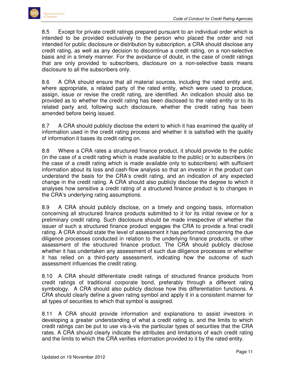8.5 Except for private credit ratings prepared pursuant to an individual order which is intended to be provided exclusively to the person who placed the order and not intended for public disclosure or distribution by subscription, a CRA should disclose any credit rating, as well as any decision to discontinue a credit rating, on a non-selective basis and in a timely manner. For the avoidance of doubt, in the case of credit ratings that are only provided to subscribers, disclosure on a non-selective basis means disclosure to all the subscribers only.

8.6 A CRA should ensure that all material sources, including the rated entity and, where appropriate, a related party of the rated entity, which were used to produce, assign, issue or revise the credit rating, are identified. An indication should also be provided as to whether the credit rating has been disclosed to the rated entity or to its related party and, following such disclosure, whether the credit rating has been amended before being issued.

8.7 A CRA should publicly disclose the extent to which it has examined the quality of information used in the credit rating process and whether it is satisfied with the quality of information it bases its credit rating on.

8.8 Where a CRA rates a structured finance product, it should provide to the public (in the case of a credit rating which is made available to the public) or to subscribers (in the case of a credit rating which is made available only to subscribers) with sufficient information about its loss and cash-flow analysis so that an investor in the product can understand the basis for the CRA's credit rating, and an indication of any expected change in the credit rating. A CRA should also publicly disclose the degree to which it analyses how sensitive a credit rating of a structured finance product is to changes in the CRA's underlying rating assumptions.

8.9 A CRA should publicly disclose, on a timely and ongoing basis, information concerning all structured finance products submitted to it for its initial review or for a preliminary credit rating. Such disclosure should be made irrespective of whether the issuer of such a structured finance product engages the CRA to provide a final credit rating. A CRA should state the level of assessment it has performed concerning the due diligence processes conducted in relation to the underlying finance products, or other assessment of the structured finance product. The CRA should publicly disclose whether it has undertaken any assessment of such due diligence processes or whether it has relied on a third-party assessment, indicating how the outcome of such assessment influences the credit rating.

8.10 A CRA should differentiate credit ratings of structured finance products from credit ratings of traditional corporate bond, preferably through a different rating symbology. A CRA should also publicly disclose how this differentiation functions. A CRA should clearly define a given rating symbol and apply it in a consistent manner for all types of securities to which that symbol is assigned.

8.11 A CRA should provide information and explanations to assist investors in developing a greater understanding of what a credit rating is, and the limits to which credit ratings can be put to use vis-à-vis the particular types of securities that the CRA rates. A CRA should clearly indicate the attributes and limitations of each credit rating and the limits to which the CRA verifies information provided to it by the rated entity.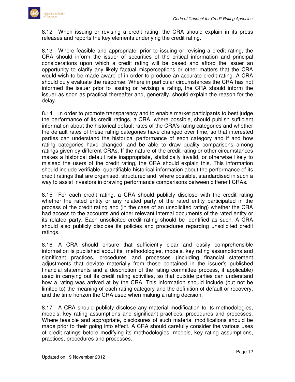8.12 When issuing or revising a credit rating, the CRA should explain in its press releases and reports the key elements underlying the credit rating.

8.13 Where feasible and appropriate, prior to issuing or revising a credit rating, the CRA should inform the issuer of securities of the critical information and principal considerations upon which a credit rating will be based and afford the issuer an opportunity to clarify any likely factual misperceptions or other matters that the CRA would wish to be made aware of in order to produce an accurate credit rating. A CRA should duly evaluate the response. Where in particular circumstances the CRA has not informed the issuer prior to issuing or revising a rating, the CRA should inform the issuer as soon as practical thereafter and, generally, should explain the reason for the delay.

8.14 In order to promote transparency and to enable market participants to best judge the performance of its credit ratings, a CRA, where possible, should publish sufficient information about the historical default rates of the CRA's rating categories and whether the default rates of these rating categories have changed over time, so that interested parties can understand the historical performance of each category and if and how rating categories have changed, and be able to draw quality comparisons among ratings given by different CRAs. If the nature of the credit rating or other circumstances makes a historical default rate inappropriate, statistically invalid, or otherwise likely to mislead the users of the credit rating, the CRA should explain this. This information should include verifiable, quantifiable historical information about the performance of its credit ratings that are organised, structured and, where possible, standardised in such a way to assist investors in drawing performance comparisons between different CRAs.

8.15 For each credit rating, a CRA should publicly disclose with the credit rating whether the rated entity or any related party of the rated entity participated in the process of the credit rating and (in the case of an unsolicited rating) whether the CRA had access to the accounts and other relevant internal documents of the rated entity or its related party. Each unsolicited credit rating should be identified as such. A CRA should also publicly disclose its policies and procedures regarding unsolicited credit ratings.

8.16 A CRA should ensure that sufficiently clear and easily comprehensible information is published about its methodologies, models, key rating assumptions and significant practices, procedures and processes (including financial statement adjustments that deviate materially from those contained in the issuer's published financial statements and a description of the rating committee process, if applicable) used in carrying out its credit rating activities, so that outside parties can understand how a rating was arrived at by the CRA. This information should include (but not be limited to) the meaning of each rating category and the definition of default or recovery, and the time horizon the CRA used when making a rating decision.

8.17 A CRA should publicly disclose any material modification to its methodologies, models, key rating assumptions and significant practices, procedures and processes. Where feasible and appropriate, disclosures of such material modifications should be made prior to their going into effect. A CRA should carefully consider the various uses of credit ratings before modifying its methodologies, models, key rating assumptions, practices, procedures and processes.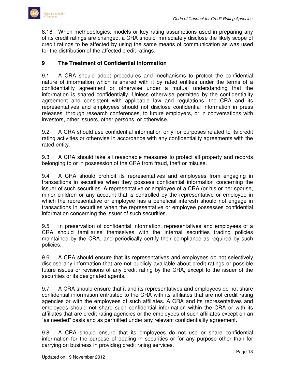8.18 When methodologies, models or key rating assumptions used in preparing any of its credit ratings are changed, a CRA should immediately disclose the likely scope of credit ratings to be affected by using the same means of communication as was used for the distribution of the affected credit ratings.

# **9 The Treatment of Confidential Information**

9.1 A CRA should adopt procedures and mechanisms to protect the confidential nature of information which is shared with it by rated entities under the terms of a confidentiality agreement or otherwise under a mutual understanding that the information is shared confidentially. Unless otherwise permitted by the confidentiality agreement and consistent with applicable law and regulations, the CRA and its representatives and employees should not disclose confidential information in press releases, through research conferences, to future employers, or in conversations with investors, other issuers, other persons, or otherwise.

9.2 A CRA should use confidential information only for purposes related to its credit rating activities or otherwise in accordance with any confidentiality agreements with the rated entity.

9.3 A CRA should take all reasonable measures to protect all property and records belonging to or in possession of the CRA from fraud, theft or misuse.

9.4 A CRA should prohibit its representatives and employees from engaging in transactions in securities when they possess confidential information concerning the issuer of such securities. A representative or employee of a CRA (or his or her spouse, minor children or any account that is controlled by the representative or employee in which the representative or employee has a beneficial interest) should not engage in transactions in securities when the representative or employee possesses confidential information concerning the issuer of such securities.

9.5 In preservation of confidential information, representatives and employees of a CRA should familiarise themselves with the internal securities trading policies maintained by the CRA, and periodically certify their compliance as required by such policies.

9.6 A CRA should ensure that its representatives and employees do not selectively disclose any information that are not publicly available about credit ratings or possible future issues or revisions of any credit rating by the CRA, except to the issuer of the securities or its designated agents.

9.7 A CRA should ensure that it and its representatives and employees do not share confidential information entrusted to the CRA with its affiliates that are not credit rating agencies or with the employees of such affiliates. A CRA and its representatives and employees should not share such confidential information within the CRA or with its affiliates that are credit rating agencies or the employees of such affiliates except on an "as needed" basis and as permitted under any relevant confidentiality agreement.

9.8 A CRA should ensure that its employees do not use or share confidential information for the purpose of dealing in securities or for any purpose other than for carrying on business in providing credit rating services.